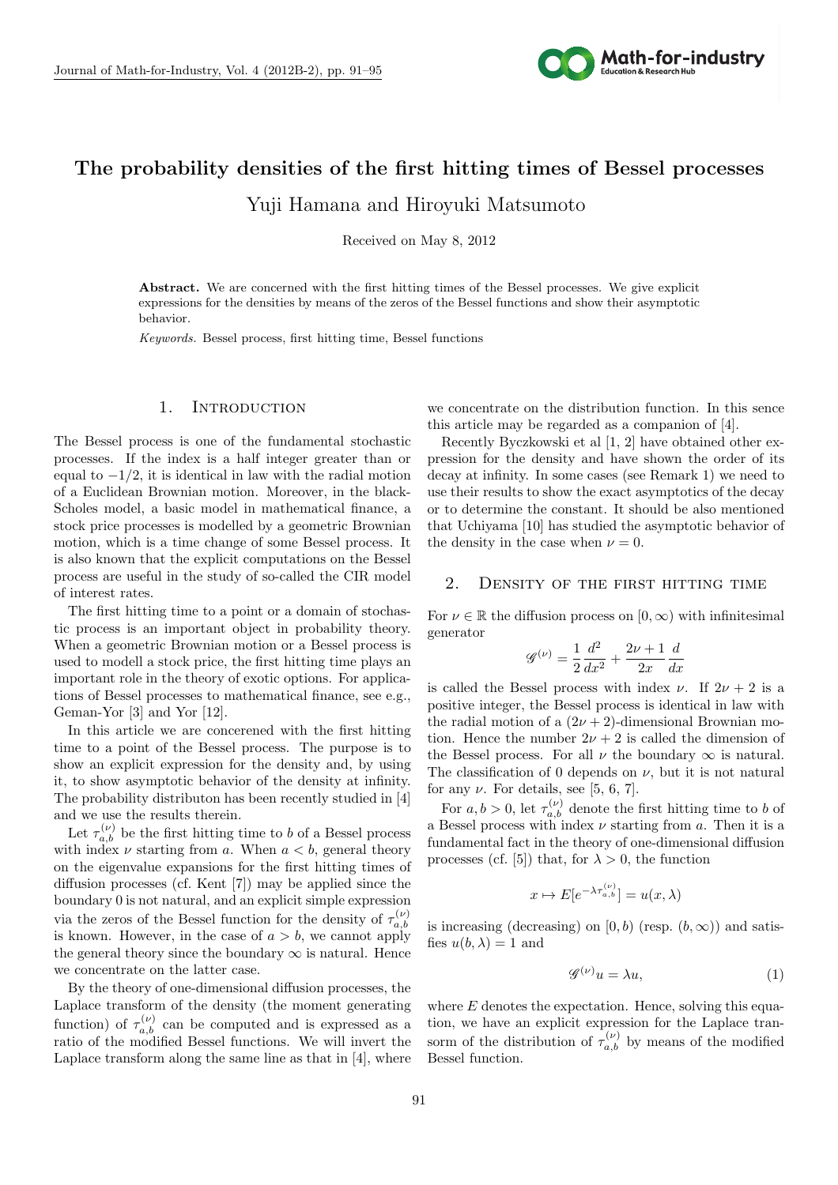

# $\sigma$  and  $\sigma$ **The probability densities of the first hitting times of Bessel processes** Yuji Hamana and Hiroyuki Matsumoto

Received on May 8, 2012

Abstract. We are concerned with the first hitting times of the Bessel processes. We give explicit expressions for the densities by means of the zeros of the Bessel functions and show their asymptotic behavior.

*Keywords.* Bessel process, first hitting time, Bessel functions

## 1. INTRODUCTION

The Bessel process is one of the fundamental stochastic processes. If the index is a half integer greater than or equal to *−*1*/*2, it is identical in law with the radial motion of a Euclidean Brownian motion. Moreover, in the black-Scholes model, a basic model in mathematical finance, a stock price processes is modelled by a geometric Brownian motion, which is a time change of some Bessel process. It is also known that the explicit computations on the Bessel process are useful in the study of so-called the CIR model of interest rates.

The first hitting time to a point or a domain of stochastic process is an important object in probability theory. When a geometric Brownian motion or a Bessel process is used to modell a stock price, the first hitting time plays an important role in the theory of exotic options. For applications of Bessel processes to mathematical finance, see e.g., Geman-Yor [3] and Yor [12].

In this article we are concerened with the first hitting time to a point of the Bessel process. The purpose is to show an explicit expression for the density and, by using it, to show asymptotic behavior of the density at infinity. The probability distributon has been recently studied in [4] and we use the results therein.

Let  $\tau_{a,b}^{(\nu)}$  be the first hitting time to *b* of a Bessel process with index  $\nu$  starting from *a*. When  $a < b$ , general theory on the eigenvalue expansions for the first hitting times of diffusion processes (cf. Kent [7]) may be applied since the boundary 0 is not natural, and an explicit simple expression via the zeros of the Bessel function for the density of  $\tau_{a,b}^{(\nu)}$ *a,b* is known. However, in the case of  $a > b$ , we cannot apply the general theory since the boundary  $\infty$  is natural. Hence we concentrate on the latter case.

By the theory of one-dimensional diffusion processes, the Laplace transform of the density (the moment generating function) of  $\tau_{a,b}^{(\nu)}$  can be computed and is expressed as a ratio of the modified Bessel functions. We will invert the Laplace transform along the same line as that in [4], where we concentrate on the distribution function. In this sence this article may be regarded as a companion of [4].

Recently Byczkowski et al [1, 2] have obtained other expression for the density and have shown the order of its decay at infinity. In some cases (see Remark 1) we need to use their results to show the exact asymptotics of the decay or to determine the constant. It should be also mentioned that Uchiyama [10] has studied the asymptotic behavior of the density in the case when  $\nu = 0$ .

## 2. Density of the first hitting time

For  $\nu \in \mathbb{R}$  the diffusion process on  $[0, \infty)$  with infinitesimal generator

$$
\mathcal{G}^{(\nu)} = \frac{1}{2} \frac{d^2}{dx^2} + \frac{2\nu + 1}{2x} \frac{d}{dx}
$$

is called the Bessel process with index *ν*. If  $2\nu + 2$  is a positive integer, the Bessel process is identical in law with the radial motion of a  $(2\nu + 2)$ -dimensional Brownian motion. Hence the number  $2\nu + 2$  is called the dimension of the Bessel process. For all  $\nu$  the boundary  $\infty$  is natural. The classification of 0 depends on  $\nu$ , but it is not natural for any  $\nu$ . For details, see [5, 6, 7].

For  $a, b > 0$ , let  $\tau_{a,b}^{(\nu)}$  denote the first hitting time to *b* of a Bessel process with index *ν* starting from *a*. Then it is a fundamental fact in the theory of one-dimensional diffusion processes (cf. [5]) that, for  $\lambda > 0$ , the function

$$
x \mapsto E[e^{-\lambda \tau_{a,b}^{(\nu)}}] = u(x,\lambda)
$$

is increasing (decreasing) on  $[0, b)$  (resp.  $(b, \infty)$ ) and satisfies  $u(b, \lambda) = 1$  and

$$
\mathcal{G}^{(\nu)}u = \lambda u,\tag{1}
$$

where *E* denotes the expectation. Hence, solving this equation, we have an explicit expression for the Laplace transorm of the distribution of  $\tau_{a,b}^{(\nu)}$  by means of the modified Bessel function.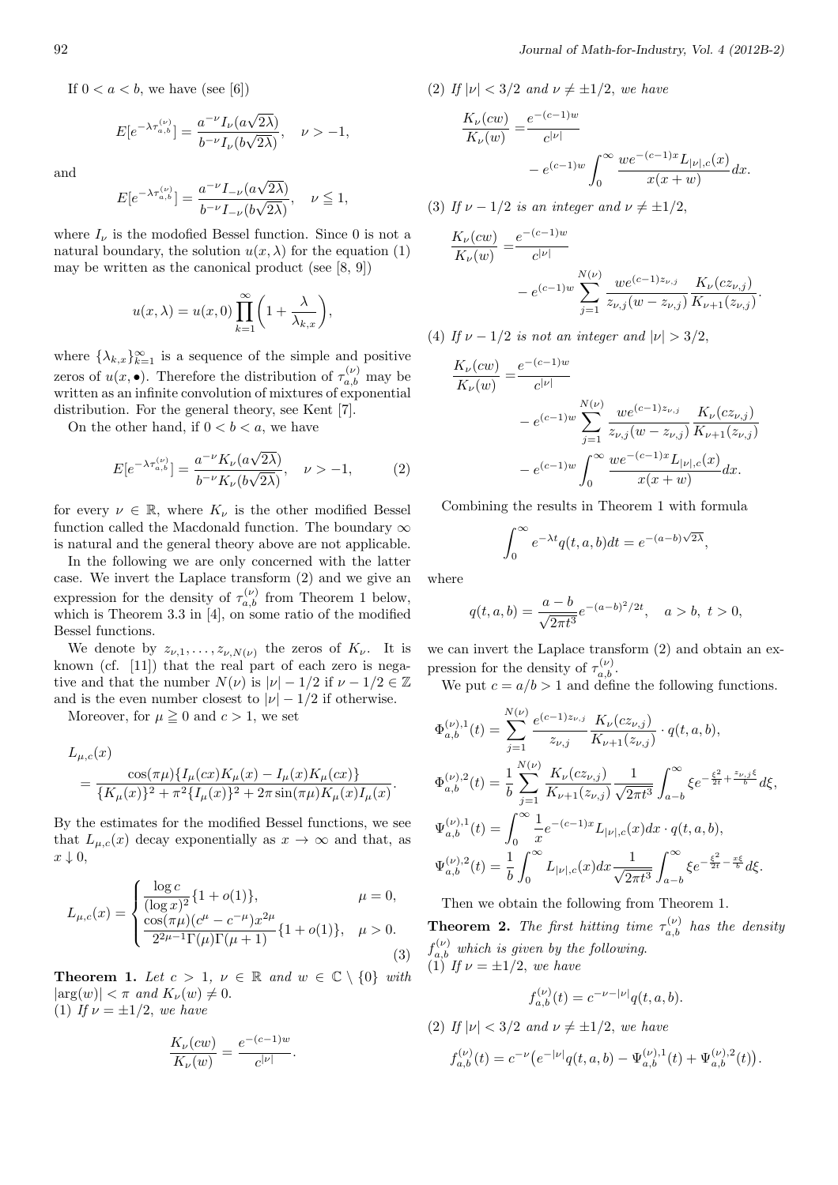If  $0 < a < b$ , we have (see [6])

$$
E[e^{-\lambda \tau_{a,b}^{(\nu)}}] = \frac{a^{-\nu} I_{\nu}(a\sqrt{2\lambda})}{b^{-\nu} I_{\nu}(b\sqrt{2\lambda})}, \quad \nu > -1,
$$

and

$$
E[e^{-\lambda \tau_{a,b}^{(\nu)}}] = \frac{a^{-\nu} I_{-\nu}(a\sqrt{2\lambda})}{b^{-\nu} I_{-\nu}(b\sqrt{2\lambda})}, \quad \nu \le 1,
$$

where  $I_{\nu}$  is the modofied Bessel function. Since 0 is not a natural boundary, the solution  $u(x, \lambda)$  for the equation (1) may be written as the canonical product (see  $[8, 9]$ )

$$
u(x,\lambda) = u(x,0) \prod_{k=1}^{\infty} \left( 1 + \frac{\lambda}{\lambda_{k,x}} \right),
$$

where  $\{\lambda_{k,x}\}_{k=1}^{\infty}$  is a sequence of the simple and positive zeros of  $u(x, \bullet)$ . Therefore the distribution of  $\tau_{a,b}^{(\nu)}$  may be written as an infinite convolution of mixtures of exponential distribution. For the general theory, see Kent [7].

On the other hand, if  $0 < b < a$ , we have

$$
E[e^{-\lambda \tau_{a,b}^{(\nu)}}] = \frac{a^{-\nu} K_{\nu}(a\sqrt{2\lambda})}{b^{-\nu} K_{\nu}(b\sqrt{2\lambda})}, \quad \nu > -1,
$$
 (2)

for every  $\nu \in \mathbb{R}$ , where  $K_{\nu}$  is the other modified Bessel function called the Macdonald function. The boundary *∞* is natural and the general theory above are not applicable.

In the following we are only concerned with the latter case. We invert the Laplace transform (2) and we give an expression for the density of  $\tau_{a,b}^{(\nu)}$  from Theorem 1 below, which is Theorem 3.3 in [4], on some ratio of the modified Bessel functions.

We denote by  $z_{\nu,1},\ldots,z_{\nu,N(\nu)}$  the zeros of  $K_{\nu}$ . It is known (cf. [11]) that the real part of each zero is negative and that the number  $N(\nu)$  is  $|\nu| - 1/2$  if  $\nu - 1/2 \in \mathbb{Z}$ and is the even number closest to  $|\nu| - 1/2$  if otherwise.

Moreover, for  $\mu \geq 0$  and  $c > 1$ , we set

$$
L_{\mu,c}(x) = \frac{\cos(\pi\mu)\{I_{\mu}(cx)K_{\mu}(x) - I_{\mu}(x)K_{\mu}(cx)\}}{\{K_{\mu}(x)\}^2 + \pi^2\{I_{\mu}(x)\}^2 + 2\pi\sin(\pi\mu)K_{\mu}(x)I_{\mu}(x)}.
$$

By the estimates for the modified Bessel functions, we see that  $L_{\mu,c}(x)$  decay exponentially as  $x \to \infty$  and that, as *x ↓* 0,

$$
L_{\mu,c}(x) = \begin{cases} \frac{\log c}{(\log x)^2} \{1 + o(1)\}, & \mu = 0, \\ \frac{\cos(\pi \mu)(c^{\mu} - c^{-\mu})x^{2\mu}}{2^{2\mu - 1}\Gamma(\mu)\Gamma(\mu + 1)} \{1 + o(1)\}, & \mu > 0. \end{cases}
$$
(3)

**Theorem 1.** *Let*  $c > 1$ ,  $\nu \in \mathbb{R}$  *and*  $w \in \mathbb{C} \setminus \{0\}$  *with*  $|\arg(w)| < \pi$  *and*  $K_\nu(w) \neq 0$ . (1) *If*  $\nu = \pm 1/2$ *, we have* 

$$
\frac{K_{\nu}(cw)}{K_{\nu}(w)} = \frac{e^{-(c-1)w}}{c^{|\nu|}}.
$$

(2) If  $|\nu| < 3/2$  and  $\nu \neq \pm 1/2$ , we have

$$
\frac{K_{\nu}(cw)}{K_{\nu}(w)} = \frac{e^{-(c-1)w}}{c^{|\nu|}} - e^{(c-1)w} \int_0^{\infty} \frac{we^{-(c-1)x} L_{|\nu|,c}(x)}{x(x+w)} dx.
$$

(3) *If*  $\nu - 1/2$  *is an integer and*  $\nu \neq \pm 1/2$ ,

$$
\frac{K_{\nu}(cw)}{K_{\nu}(w)} = \frac{e^{-(c-1)w}}{c^{|\nu|}} - e^{(c-1)w} \sum_{j=1}^{N(\nu)} \frac{we^{(c-1)z_{\nu,j}}}{z_{\nu,j}(w-z_{\nu,j})} \frac{K_{\nu}(cz_{\nu,j})}{K_{\nu+1}(z_{\nu,j})}.
$$

(4) *If*  $\nu - 1/2$  *is not an integer and*  $|\nu| > 3/2$ ,

$$
\frac{K_{\nu}(cw)}{K_{\nu}(w)} = \frac{e^{-(c-1)w}}{c^{|\nu|}}
$$
\n
$$
-e^{(c-1)w} \sum_{j=1}^{N(\nu)} \frac{we^{(c-1)z_{\nu,j}}}{z_{\nu,j}(w-z_{\nu,j})} \frac{K_{\nu}(cz_{\nu,j})}{K_{\nu+1}(z_{\nu,j})}
$$
\n
$$
-e^{(c-1)w} \int_0^{\infty} \frac{we^{-(c-1)x}L_{|\nu|,c}(x)}{x(x+w)} dx.
$$

Combining the results in Theorem 1 with formula

$$
\int_0^\infty e^{-\lambda t} q(t, a, b) dt = e^{-(a-b)\sqrt{2\lambda}},
$$

where

$$
q(t, a, b) = \frac{a - b}{\sqrt{2\pi t^3}} e^{-(a - b)^2/2t}, \quad a > b, \ t > 0,
$$

we can invert the Laplace transform (2) and obtain an expression for the density of  $\tau_{a,b}^{(\nu)}$ .

We put  $c = a/b > 1$  and define the following functions.

$$
\Phi_{a,b}^{(\nu),1}(t) = \sum_{j=1}^{N(\nu)} \frac{e^{(c-1)z_{\nu,j}}}{z_{\nu,j}} \frac{K_{\nu}(cz_{\nu,j})}{K_{\nu+1}(z_{\nu,j})} \cdot q(t, a, b),
$$
  
\n
$$
\Phi_{a,b}^{(\nu),2}(t) = \frac{1}{b} \sum_{j=1}^{N(\nu)} \frac{K_{\nu}(cz_{\nu,j})}{K_{\nu+1}(z_{\nu,j})} \frac{1}{\sqrt{2\pi t^3}} \int_{a-b}^{\infty} \xi e^{-\frac{\xi^2}{2t} + \frac{z_{\nu,j}\xi}{b}} d\xi,
$$
  
\n
$$
\Psi_{a,b}^{(\nu),1}(t) = \int_{0}^{\infty} \frac{1}{x} e^{-(c-1)x} L_{|\nu|,c}(x) dx \cdot q(t, a, b),
$$
  
\n
$$
\Psi_{a,b}^{(\nu),2}(t) = \frac{1}{b} \int_{0}^{\infty} L_{|\nu|,c}(x) dx \frac{1}{\sqrt{2\pi t^3}} \int_{a-b}^{\infty} \xi e^{-\frac{\xi^2}{2t} - \frac{x\xi}{b}} d\xi.
$$

Then we obtain the following from Theorem 1.

**Theorem 2.** *The first hitting time*  $\tau_{a,b}^{(\nu)}$  *has the density*  $f_{a,b}^{(\nu)}$  which is given by the following.  $(1)$  *If*  $\nu = \pm 1/2$ *, we have* 

$$
f_{a,b}^{(\nu)}(t) = c^{-\nu - |\nu|} q(t, a, b).
$$

(2) *If*  $|\nu| < 3/2$  *and*  $\nu \neq \pm 1/2$ *, we have* 

$$
f_{a,b}^{(\nu)}(t) = c^{-\nu} \left( e^{-|\nu|} q(t,a,b) - \Psi_{a,b}^{(\nu),1}(t) + \Psi_{a,b}^{(\nu),2}(t) \right).
$$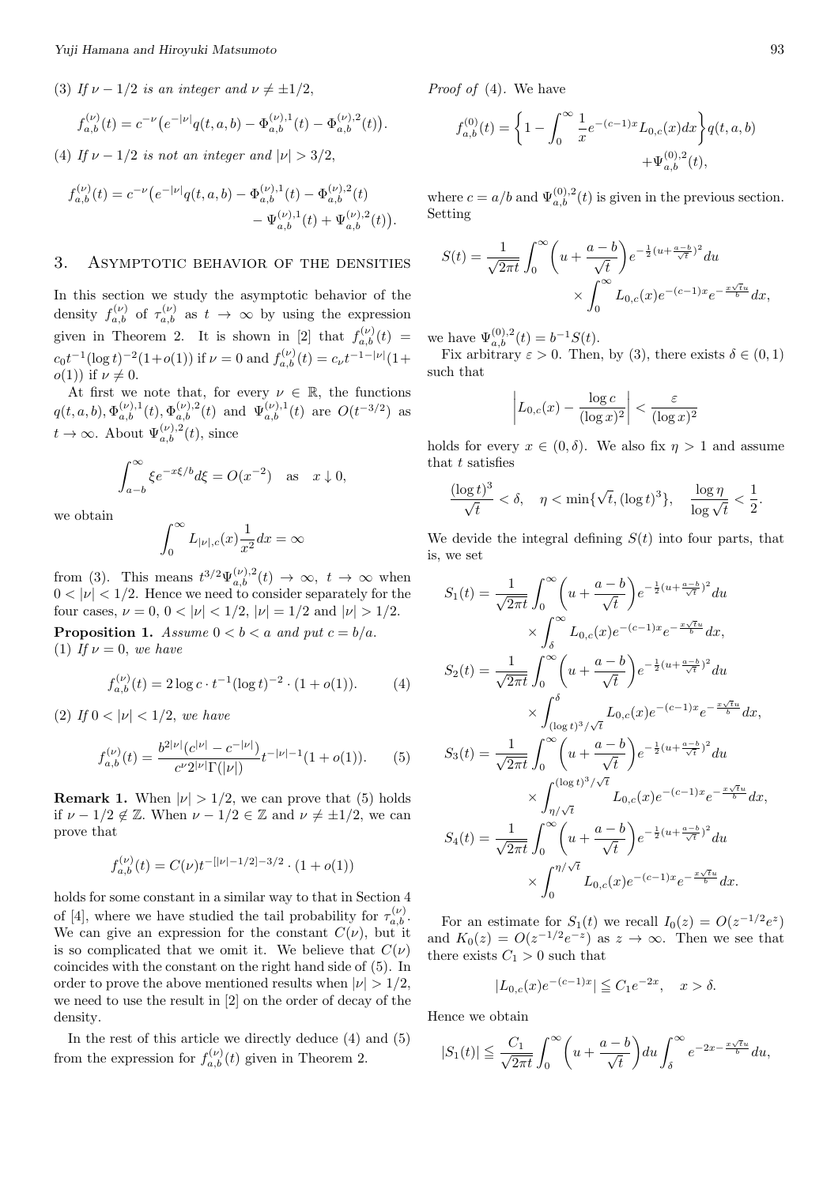(3) If 
$$
\nu - 1/2
$$
 is an integer and  $\nu \neq \pm 1/2$ ,  
\n
$$
f_{a,b}^{(\nu)}(t) = c^{-\nu} \left( e^{-|\nu|} q(t, a, b) - \Phi_{a,b}^{(\nu),1}(t) - \Phi_{a,b}^{(\nu),2}(t) \right).
$$

(4) *If*  $\nu - 1/2$  *is not an integer and*  $|\nu| > 3/2$ ,

$$
f_{a,b}^{(\nu)}(t) = c^{-\nu} \left( e^{-|\nu|} q(t, a, b) - \Phi_{a,b}^{(\nu),1}(t) - \Phi_{a,b}^{(\nu),2}(t) - \Psi_{a,b}^{(\nu),1}(t) + \Psi_{a,b}^{(\nu),2}(t) \right).
$$

#### 3. Asymptotic behavior of the densities

In this section we study the asymptotic behavior of the density  $f_{a,b}^{(\nu)}$  of  $\tau_{a,b}^{(\nu)}$  as  $t \to \infty$  by using the expression given in Theorem 2. It is shown in [2] that  $f_{a,b}^{(\nu)}(t) =$  $c_0 t^{-1} (\log t)^{-2} (1+o(1))$  if  $\nu = 0$  and  $f_{a,b}^{(\nu)}(t) = c_{\nu} t^{-1-|\nu|} (1+o(1))$  $o(1)$ ) if  $\nu \neq 0$ .

At first we note that, for every  $\nu \in \mathbb{R}$ , the functions  $q(t, a, b), \Phi_{a,b}^{(\nu),1}(t), \Phi_{a,b}^{(\nu),2}(t)$  and  $\Psi_{a,b}^{(\nu),1}(t)$  are  $O(t^{-3/2})$  as  $t \to \infty$ . About  $\Psi_{a,b}^{(\nu),2}(t)$ , since

$$
\int_{a-b}^{\infty} \xi e^{-x\xi/b} d\xi = O(x^{-2}) \text{ as } x \downarrow 0,
$$

we obtain

$$
\int_0^\infty L_{|\nu|,c}(x)\frac{1}{x^2}dx=\infty
$$

from (3). This means  $t^{3/2} \Psi_{a,b}^{(\nu),2}(t) \to \infty$ ,  $t \to \infty$  when  $0 < |\nu| < 1/2$ . Hence we need to consider separately for the four cases,  $\nu = 0$ ,  $0 < |\nu| < 1/2$ ,  $|\nu| = 1/2$  and  $|\nu| > 1/2$ .

**Proposition 1.** *Assume*  $0 < b < a$  *and put*  $c = b/a$ . (1) If  $\nu = 0$ , we have

$$
f_{a,b}^{(\nu)}(t) = 2\log c \cdot t^{-1} (\log t)^{-2} \cdot (1 + o(1)). \tag{4}
$$

(2) *If*  $0 < |\nu| < 1/2$ *, we have* 

$$
f_{a,b}^{(\nu)}(t) = \frac{b^{2|\nu|}(c^{|\nu|} - c^{-|\nu|})}{c^{\nu}2^{|\nu|}\Gamma(|\nu|)} t^{-|\nu|-1}(1 + o(1)). \tag{5}
$$

**Remark 1.** When  $|\nu| > 1/2$ , we can prove that (5) holds if  $\nu - 1/2 \notin \mathbb{Z}$ . When  $\nu - 1/2 \in \mathbb{Z}$  and  $\nu \neq \pm 1/2$ , we can prove that

$$
f_{a,b}^{(\nu)}(t) = C(\nu)t^{-[|\nu|-1/2]-3/2} \cdot (1+o(1))
$$

holds for some constant in a similar way to that in Section 4 of [4], where we have studied the tail probability for  $\tau_{a,b}^{(\nu)}$ . We can give an expression for the constant  $C(\nu)$ , but it is so complicated that we omit it. We believe that  $C(\nu)$ coincides with the constant on the right hand side of (5). In order to prove the above mentioned results when  $|\nu| > 1/2$ , we need to use the result in [2] on the order of decay of the density.

In the rest of this article we directly deduce (4) and (5) from the expression for  $f_{a,b}^{(\nu)}(t)$  given in Theorem 2.

*Proof of* (4)*.* We have

$$
f_{a,b}^{(0)}(t) = \left\{ 1 - \int_0^\infty \frac{1}{x} e^{-(c-1)x} L_{0,c}(x) dx \right\} q(t, a, b)
$$

$$
+ \Psi_{a,b}^{(0),2}(t),
$$

where  $c = a/b$  and  $\Psi_{a,b}^{(0),2}(t)$  is given in the previous section. Setting

$$
S(t) = \frac{1}{\sqrt{2\pi t}} \int_0^{\infty} \left( u + \frac{a - b}{\sqrt{t}} \right) e^{-\frac{1}{2} (u + \frac{a - b}{\sqrt{t}})^2} du
$$

$$
\times \int_0^{\infty} L_{0,c}(x) e^{-(c-1)x} e^{-\frac{x\sqrt{t}u}{b}} dx,
$$

we have  $\Psi_{a,b}^{(0),2}(t) = b^{-1}S(t)$ .

Fix arbitrary  $\varepsilon > 0$ . Then, by (3), there exists  $\delta \in (0,1)$ such that

$$
\left| L_{0,c}(x) - \frac{\log c}{(\log x)^2} \right| < \frac{\varepsilon}{(\log x)^2}
$$

holds for every  $x \in (0, \delta)$ . We also fix  $\eta > 1$  and assume that *t* satisfies

$$
\frac{(\log t)^3}{\sqrt{t}} < \delta, \quad \eta < \min\{\sqrt{t}, (\log t)^3\}, \quad \frac{\log \eta}{\log \sqrt{t}} < \frac{1}{2}.
$$

We devide the integral defining  $S(t)$  into four parts, that is, we set

$$
S_1(t) = \frac{1}{\sqrt{2\pi t}} \int_0^{\infty} \left( u + \frac{a-b}{\sqrt{t}} \right) e^{-\frac{1}{2} (u + \frac{a-b}{\sqrt{t}})^2} du
$$
  
\n
$$
\times \int_{\delta}^{\infty} L_{0,c}(x) e^{-(c-1)x} e^{-\frac{x\sqrt{t}u}{b}} dx,
$$
  
\n
$$
S_2(t) = \frac{1}{\sqrt{2\pi t}} \int_0^{\infty} \left( u + \frac{a-b}{\sqrt{t}} \right) e^{-\frac{1}{2} (u + \frac{a-b}{\sqrt{t}})^2} du
$$
  
\n
$$
\times \int_{(\log t)^3/\sqrt{t}}^{\delta} L_{0,c}(x) e^{-(c-1)x} e^{-\frac{x\sqrt{t}u}{b}} dx,
$$
  
\n
$$
S_3(t) = \frac{1}{\sqrt{2\pi t}} \int_0^{\infty} \left( u + \frac{a-b}{\sqrt{t}} \right) e^{-\frac{1}{2} (u + \frac{a-b}{\sqrt{t}})^2} du
$$
  
\n
$$
\times \int_{\eta/\sqrt{t}}^{(\log t)^3/\sqrt{t}} L_{0,c}(x) e^{-(c-1)x} e^{-\frac{x\sqrt{t}u}{b}} dx,
$$
  
\n
$$
S_4(t) = \frac{1}{\sqrt{2\pi t}} \int_0^{\infty} \left( u + \frac{a-b}{\sqrt{t}} \right) e^{-\frac{1}{2} (u + \frac{a-b}{\sqrt{t}})^2} du
$$
  
\n
$$
\times \int_0^{\eta/\sqrt{t}} L_{0,c}(x) e^{-(c-1)x} e^{-\frac{x\sqrt{t}u}{b}} dx.
$$

For an estimate for  $S_1(t)$  we recall  $I_0(z) = O(z^{-1/2}e^z)$ and  $K_0(z) = O(z^{-1/2}e^{-z})$  as  $z \to \infty$ . Then we see that there exists  $C_1 > 0$  such that

$$
|L_{0,c}(x)e^{-(c-1)x}| \leqq C_1 e^{-2x}, \quad x > \delta.
$$

Hence we obtain

$$
|S_1(t)| \leqq \frac{C_1}{\sqrt{2\pi t}} \int_0^\infty \left( u + \frac{a-b}{\sqrt{t}} \right) du \int_\delta^\infty e^{-2x - \frac{x\sqrt{t}u}{b}} du,
$$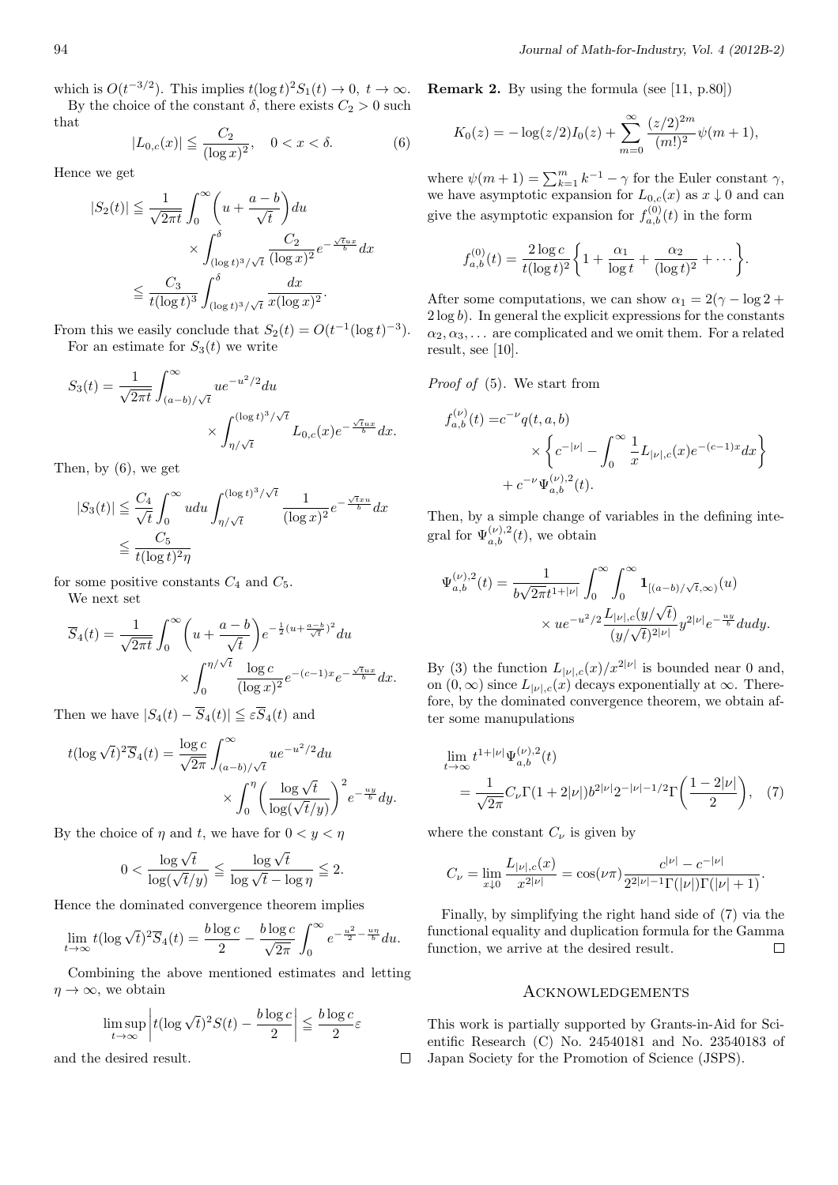which is  $O(t^{-3/2})$ . This implies  $t(\log t)^2 S_1(t) \to 0, t \to \infty$ .

By the choice of the constant  $\delta$ , there exists  $C_2 > 0$  such that

$$
|L_{0,c}(x)| \le \frac{C_2}{(\log x)^2}, \quad 0 < x < \delta. \tag{6}
$$

Hence we get

$$
|S_2(t)| \leq \frac{1}{\sqrt{2\pi t}} \int_0^\infty \left( u + \frac{a - b}{\sqrt{t}} \right) du
$$
  
 
$$
\times \int_{(\log t)^3/\sqrt{t}}^{\delta} \frac{C_2}{(\log x)^2} e^{-\frac{\sqrt{t}ux}{b}} dx
$$
  
 
$$
\leq \frac{C_3}{t(\log t)^3} \int_{(\log t)^3/\sqrt{t}}^{\delta} \frac{dx}{x(\log x)^2}.
$$

From this we easily conclude that  $S_2(t) = O(t^{-1}(\log t)^{-3})$ . For an estimate for  $S_3(t)$  we write

$$
S_3(t) = \frac{1}{\sqrt{2\pi t}} \int_{(a-b)/\sqrt{t}}^{\infty} u e^{-u^2/2} du
$$

$$
\times \int_{\eta/\sqrt{t}}^{(\log t)^3/\sqrt{t}} L_{0,c}(x) e^{-\frac{\sqrt{t}ux}{b}} dx.
$$

Then, by (6), we get

$$
|S_3(t)| \leq \frac{C_4}{\sqrt{t}} \int_0^\infty u du \int_{\eta/\sqrt{t}}^{(\log t)^3/\sqrt{t}} \frac{1}{(\log x)^2} e^{-\frac{\sqrt{t}x u}{b}} dx
$$
  

$$
\leq \frac{C_5}{t(\log t)^2 \eta}
$$

for some positive constants  $C_4$  and  $C_5$ .

We next set

$$
\overline{S}_4(t) = \frac{1}{\sqrt{2\pi t}} \int_0^\infty \left( u + \frac{a - b}{\sqrt{t}} \right) e^{-\frac{1}{2} (u + \frac{a - b}{\sqrt{t}})^2} du
$$

$$
\times \int_0^{\eta/\sqrt{t}} \frac{\log c}{(\log x)^2} e^{-(c-1)x} e^{-\frac{\sqrt{t}ux}{b}} dx.
$$

Then we have  $|S_4(t) - \overline{S}_4(t)| \leq \varepsilon \overline{S}_4(t)$  and

$$
t(\log \sqrt{t})^2 \overline{S}_4(t) = \frac{\log c}{\sqrt{2\pi}} \int_{(a-b)/\sqrt{t}}^{\infty} u e^{-u^2/2} du
$$

$$
\times \int_0^{\eta} \left( \frac{\log \sqrt{t}}{\log(\sqrt{t}/y)} \right)^2 e^{-\frac{uy}{b}} dy.
$$

By the choice of  $\eta$  and  $t$ , we have for  $0 < y < \eta$ 

$$
0 < \frac{\log \sqrt{t}}{\log(\sqrt{t}/y)} \leq \frac{\log \sqrt{t}}{\log \sqrt{t} - \log \eta} \leq 2.
$$

Hence the dominated convergence theorem implies

$$
\lim_{t \to \infty} t(\log \sqrt{t})^2 \overline{S}_4(t) = \frac{b \log c}{2} - \frac{b \log c}{\sqrt{2\pi}} \int_0^\infty e^{-\frac{u^2}{2} - \frac{u\eta}{b}} du.
$$

Combining the above mentioned estimates and letting  $\eta \rightarrow \infty$ , we obtain

$$
\limsup_{t \to \infty} \left| t(\log \sqrt{t})^2 S(t) - \frac{b \log c}{2} \right| \leq \frac{b \log c}{2} \varepsilon
$$

and the desired result.

**Remark 2.** By using the formula (see [11, p.80])

$$
K_0(z) = -\log(z/2)I_0(z) + \sum_{m=0}^{\infty} \frac{(z/2)^{2m}}{(m!)^2} \psi(m+1),
$$

where  $\psi(m+1) = \sum_{k=1}^{m} k^{-1} - \gamma$  for the Euler constant  $\gamma$ , we have asymptotic expansion for  $L_{0,c}(x)$  as  $x \downarrow 0$  and can give the asymptotic expansion for  $f_{a,b}^{(0)}(t)$  in the form

$$
f_{a,b}^{(0)}(t) = \frac{2 \log c}{t (\log t)^2} \left\{ 1 + \frac{\alpha_1}{\log t} + \frac{\alpha_2}{(\log t)^2} + \dots \right\}.
$$

After some computations, we can show  $\alpha_1 = 2(\gamma - \log 2 + \gamma)$ 2 log *b*). In general the explicit expressions for the constants  $\alpha_2, \alpha_3, \ldots$  are complicated and we omit them. For a related result, see [10].

*Proof of* (5)*.* We start from

$$
f_{a,b}^{(\nu)}(t) = c^{-\nu} q(t, a, b)
$$
  
\$\times \left\{ c^{-|\nu|} - \int\_0^\infty \frac{1}{x} L\_{|\nu|, c}(x) e^{-(c-1)x} dx \right\}\$  
\$+ c^{-\nu} \Psi\_{a,b}^{(\nu),2}(t).\$

Then, by a simple change of variables in the defining integral for  $\Psi_{a,b}^{(\nu),2}(t)$ , we obtain

$$
\Psi_{a,b}^{(\nu),2}(t) = \frac{1}{b\sqrt{2\pi}t^{1+|\nu|}} \int_0^\infty \int_0^\infty \mathbf{1}_{[(a-b)/\sqrt{t},\infty)}(u) \times ue^{-u^2/2} \frac{L_{|\nu|,c}(y/\sqrt{t})}{(y/\sqrt{t})^{2|\nu|}} y^{2|\nu|} e^{-\frac{uy}{b}} du dy.
$$

By (3) the function  $L_{|\nu|,c}(x)/x^{2|\nu|}$  is bounded near 0 and, on  $(0, \infty)$  since  $L_{|\nu|,c}(x)$  decays exponentially at  $\infty$ . Therefore, by the dominated convergence theorem, we obtain after some manupulations

$$
\lim_{t \to \infty} t^{1+|\nu|} \Psi_{a,b}^{(\nu),2}(t) = \frac{1}{\sqrt{2\pi}} C_{\nu} \Gamma(1+2|\nu|) b^{2|\nu|} 2^{-|\nu|-1/2} \Gamma\left(\frac{1-2|\nu|}{2}\right), \quad (7)
$$

where the constant  $C_{\nu}$  is given by

 $\Box$ 

$$
C_{\nu} = \lim_{x \downarrow 0} \frac{L_{|\nu|,c}(x)}{x^{2|\nu|}} = \cos(\nu \pi) \frac{c^{|\nu|} - c^{-|\nu|}}{2^{2|\nu| - 1} \Gamma(|\nu|) \Gamma(|\nu| + 1)}.
$$

Finally, by simplifying the right hand side of (7) via the functional equality and duplication formula for the Gamma function, we arrive at the desired result.  $\Box$ 

### Acknowledgements

This work is partially supported by Grants-in-Aid for Scientific Research (C) No. 24540181 and No. 23540183 of Japan Society for the Promotion of Science (JSPS).